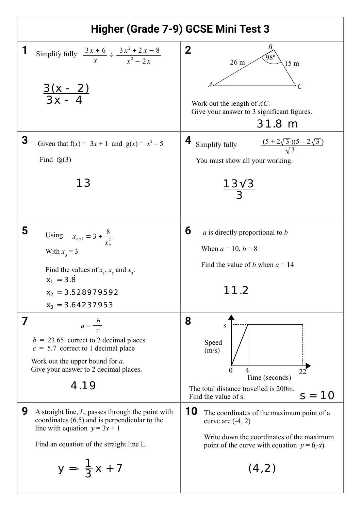| Higher (Grade 7-9) GCSE Mini Test 3                                                                                                                                                                                                                                                                                                                                                                                      |                                                                                                                                                                                                                                                                                                                                 |
|--------------------------------------------------------------------------------------------------------------------------------------------------------------------------------------------------------------------------------------------------------------------------------------------------------------------------------------------------------------------------------------------------------------------------|---------------------------------------------------------------------------------------------------------------------------------------------------------------------------------------------------------------------------------------------------------------------------------------------------------------------------------|
| 1<br>Simplify fully $\frac{3x+6}{x} \div \frac{3x^2+2x-8}{x^2-2x}$<br>$\frac{3(x - 2)}{3x - 4}$                                                                                                                                                                                                                                                                                                                          | $\mathbf 2$<br>98°<br>26 <sub>m</sub><br>15 <sub>m</sub><br>Work out the length of $AC$ .<br>Give your answer to 3 significant figures.<br>31.8 m                                                                                                                                                                               |
| 3<br>Given that $f(x) = 3x + 1$ and $g(x) = x^2 - 5$<br>Find $fg(3)$<br>13                                                                                                                                                                                                                                                                                                                                               | 4<br>$\frac{(5+2\sqrt{3})(5-2\sqrt{3})}{\sqrt{3}}$<br>Simplify fully<br>You must show all your working.<br>$\frac{13\sqrt{3}}{3}$                                                                                                                                                                                               |
| 5<br>Using $x_{n+1} = 3 + \frac{8}{x^2}$<br>With $x_0 = 3$<br>Find the values of $x_1$ , $x_2$ and $x_3$ .<br>$x_1 = 3.8$<br>$x_2 = 3.528979592$<br>$x_3 = 3.64237953$                                                                                                                                                                                                                                                   | 6<br>$\alpha$ is directly proportional to $\beta$<br>When $a = 10, b = 8$<br>Find the value of <i>b</i> when $a = 14$<br>11.2                                                                                                                                                                                                   |
| 7<br>$a=\frac{b}{c}$<br>$b = 23.65$ correct to 2 decimal places<br>$c = 5.7$ correct to 1 decimal place<br>Work out the upper bound for $a$ .<br>Give your answer to 2 decimal places.<br>4.19<br>9<br>A straight line, $L$ , passes through the point with<br>coordinates $(6,5)$ and is perpendicular to the<br>line with equation $y = 3x + 1$<br>Find an equation of the straight line L.<br>$y = -\frac{1}{3}x + 7$ | 8<br>S<br>Speed<br>(m/s)<br>4<br>$\theta$<br>22<br>Time (seconds)<br>The total distance travelled is 200m.<br>1 Q<br>S<br>Find the value of s.<br>10<br>The coordinates of the maximum point of a<br>curve are $(-4, 2)$<br>Write down the coordinates of the maximum<br>point of the curve with equation $y = f(-x)$<br>(4, 2) |